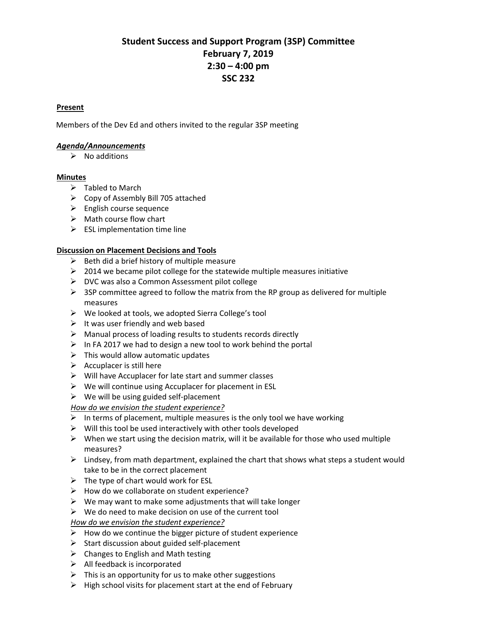# **Student Success and Support Program (3SP) Committee February 7, 2019 2:30 – 4:00 pm SSC 232**

#### <sup>U</sup>**Present**

Members of the Dev Ed and others invited to the regular 3SP meeting

## <sup>U</sup>*Agenda/Announcements*

 $\triangleright$  No additions

## <sup>U</sup>**Minutes**

- $\triangleright$  Tabled to March
- $\triangleright$  Copy of Assembly Bill 705 attached
- $\triangleright$  English course sequence
- $\triangleright$  Math course flow chart
- $\triangleright$  ESL implementation time line

# <sup>U</sup>**Discussion on Placement Decisions and Tools**

- $\triangleright$  Beth did a brief history of multiple measure
- $\geq$  2014 we became pilot college for the statewide multiple measures initiative
- DVC was also a Common Assessment pilot college
- $\triangleright$  3SP committee agreed to follow the matrix from the RP group as delivered for multiple measures
- $\triangleright$  We looked at tools, we adopted Sierra College's tool
- $\triangleright$  It was user friendly and web based
- $\triangleright$  Manual process of loading results to students records directly
- $\triangleright$  In FA 2017 we had to design a new tool to work behind the portal
- $\triangleright$  This would allow automatic updates
- $\triangleright$  Accuplacer is still here
- $\triangleright$  Will have Accuplacer for late start and summer classes
- $\triangleright$  We will continue using Accuplacer for placement in ESL
- $\triangleright$  We will be using guided self-placement

# <sup>U</sup>*How do we envision the student experience?*

- $\triangleright$  In terms of placement, multiple measures is the only tool we have working
- $\triangleright$  Will this tool be used interactively with other tools developed
- $\triangleright$  When we start using the decision matrix, will it be available for those who used multiple measures?
- $\triangleright$  Lindsey, from math department, explained the chart that shows what steps a student would take to be in the correct placement
- $\triangleright$  The type of chart would work for ESL
- $\triangleright$  How do we collaborate on student experience?
- $\triangleright$  We may want to make some adjustments that will take longer
- $\triangleright$  We do need to make decision on use of the current tool

<sup>U</sup>*How do we envision the student experience?*

- $\triangleright$  How do we continue the bigger picture of student experience
- $\triangleright$  Start discussion about guided self-placement
- $\triangleright$  Changes to English and Math testing
- $\triangleright$  All feedback is incorporated
- $\triangleright$  This is an opportunity for us to make other suggestions
- $\triangleright$  High school visits for placement start at the end of February